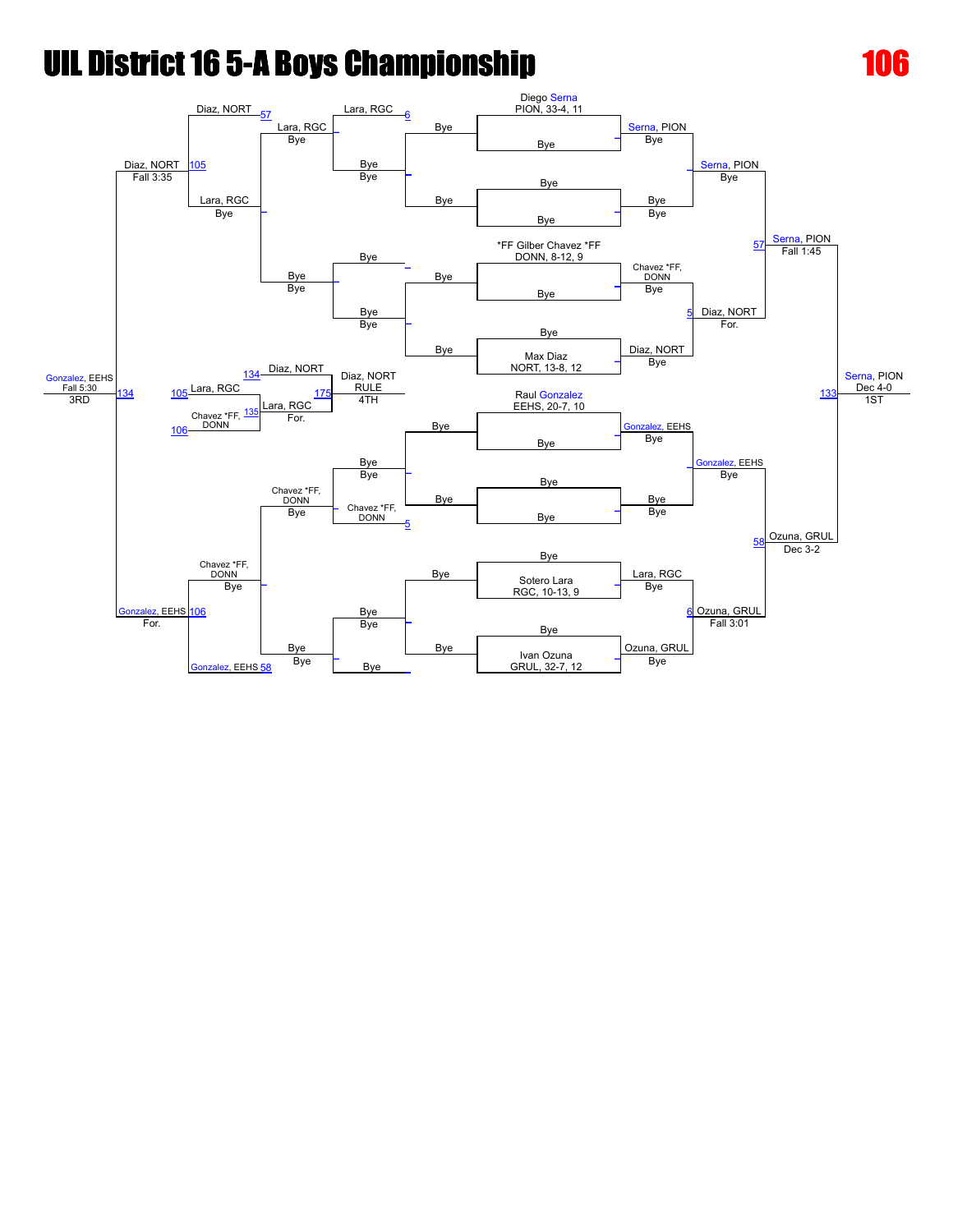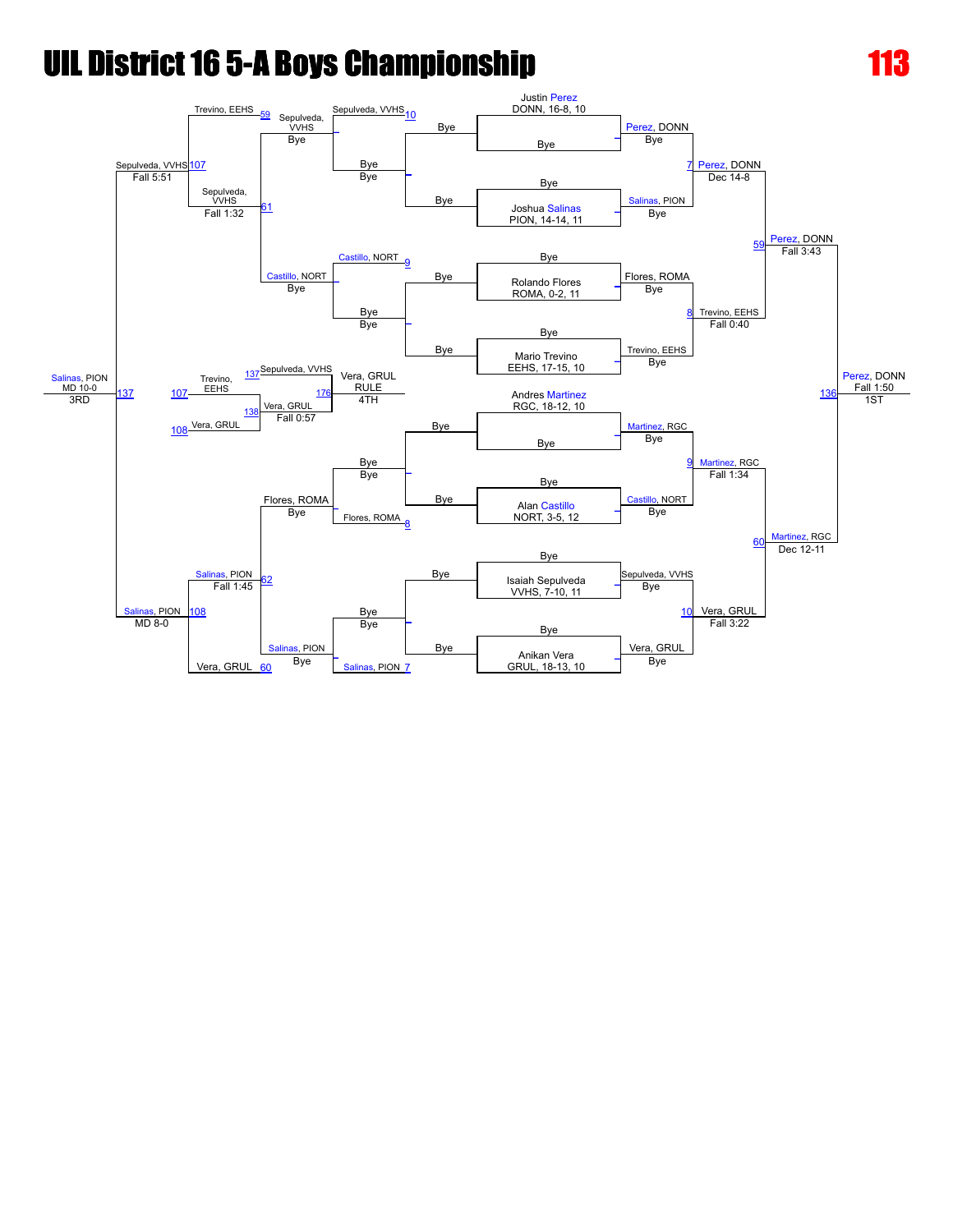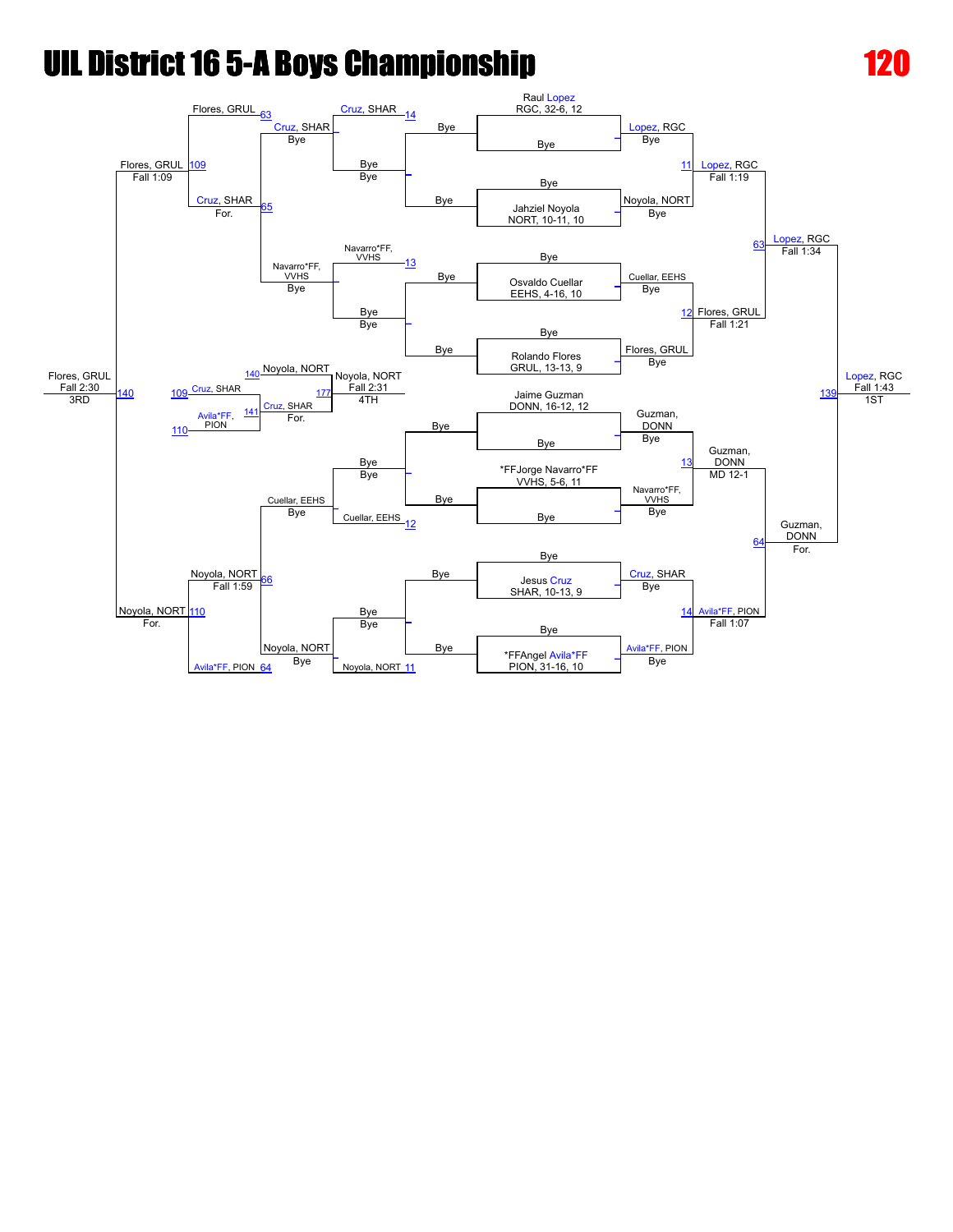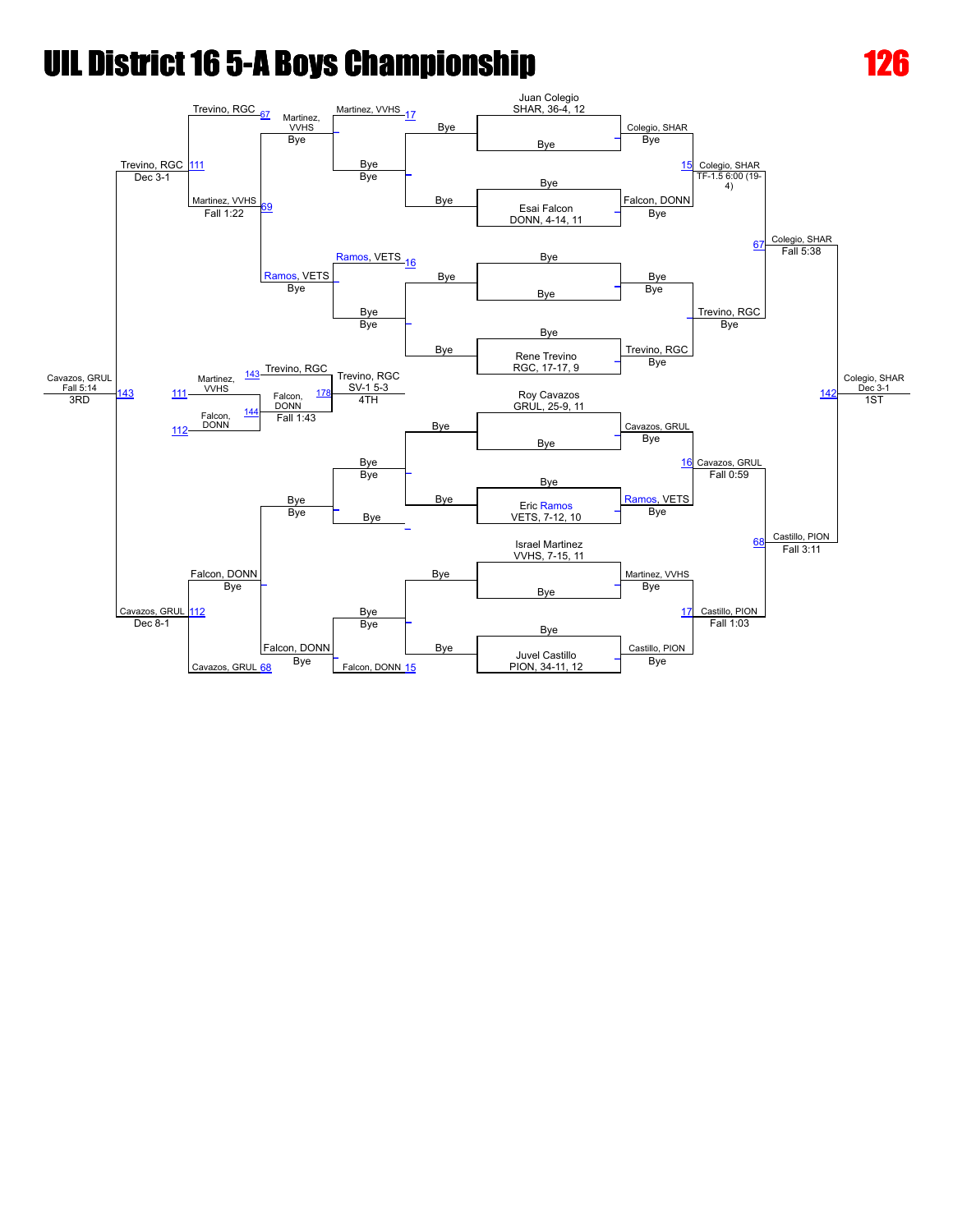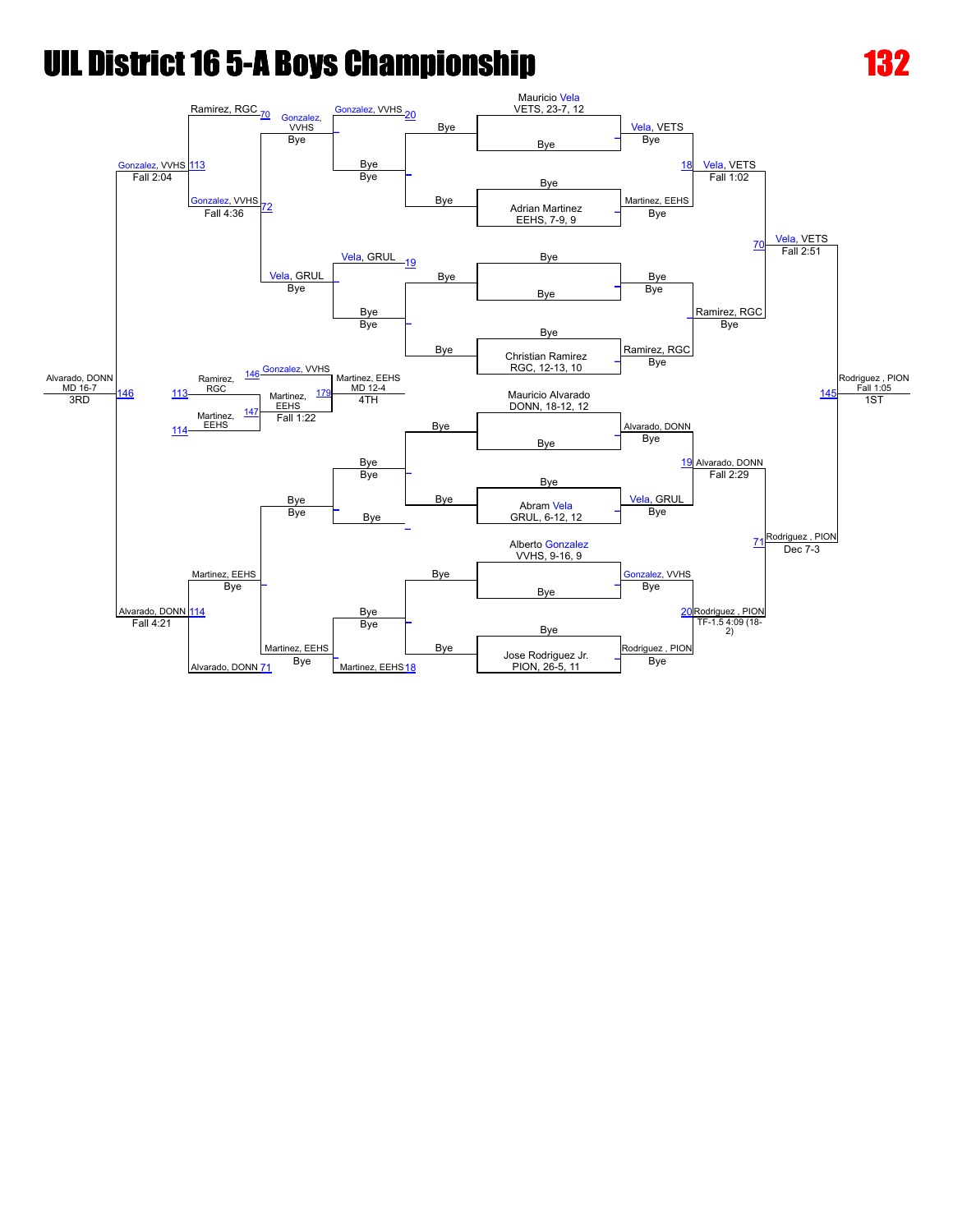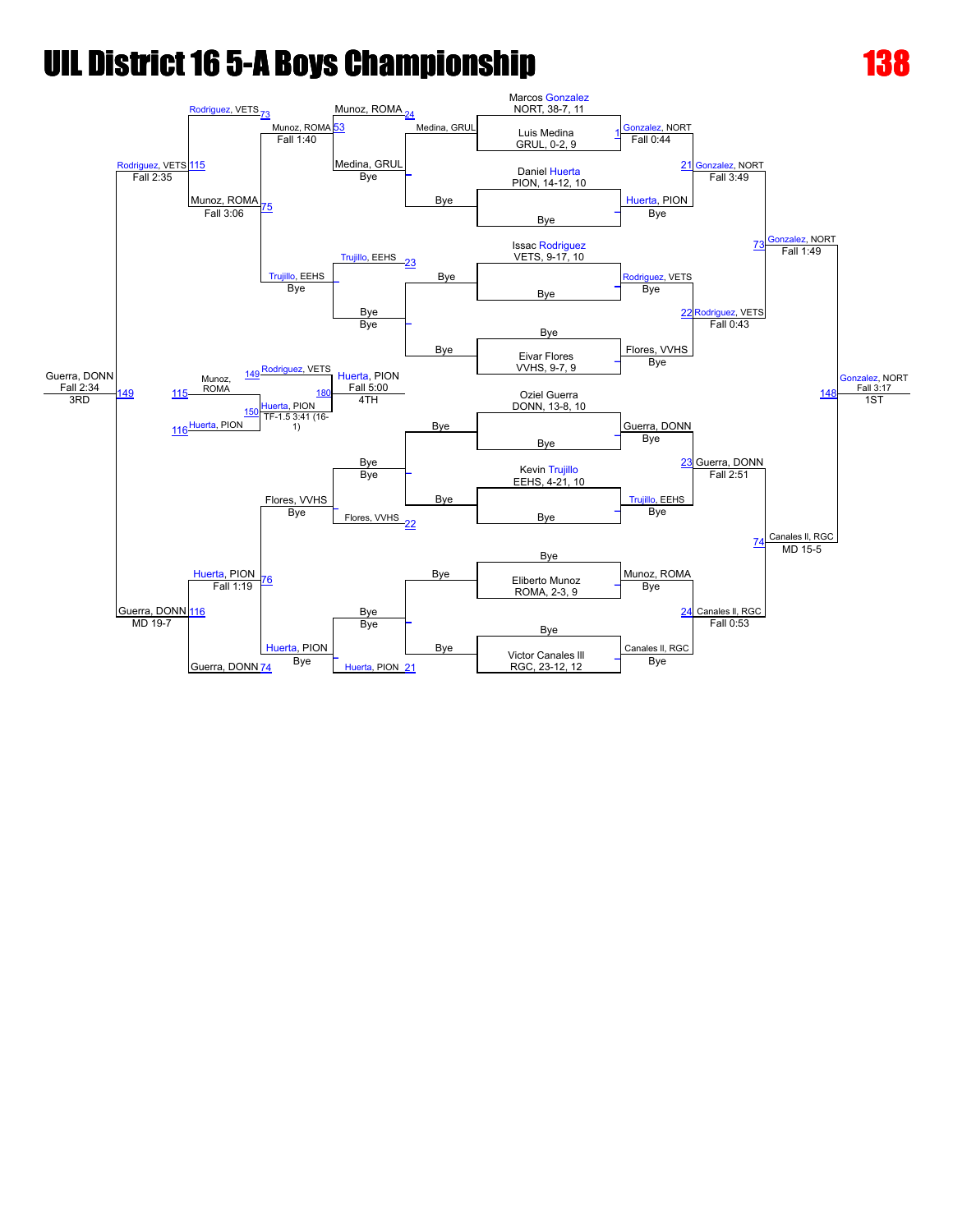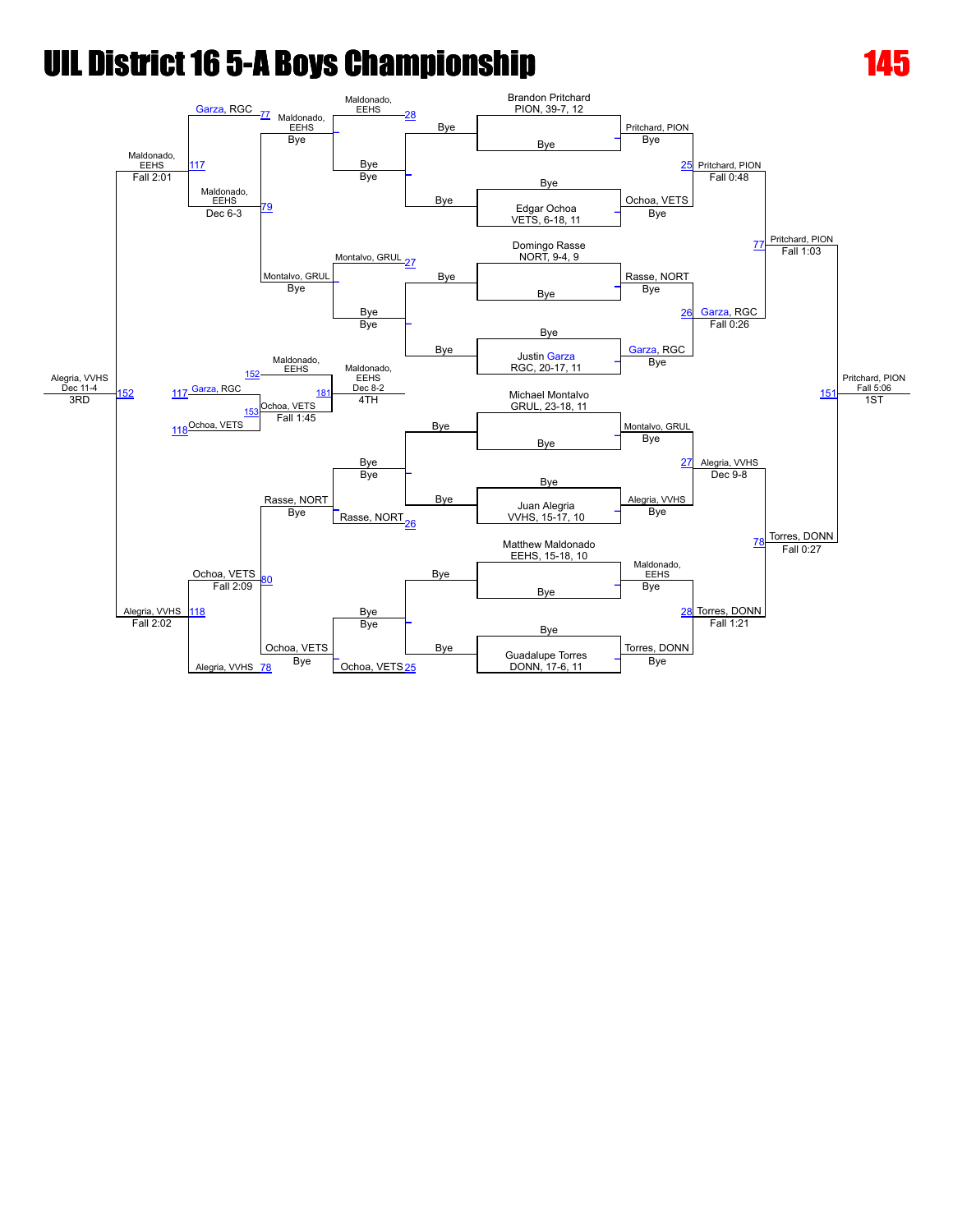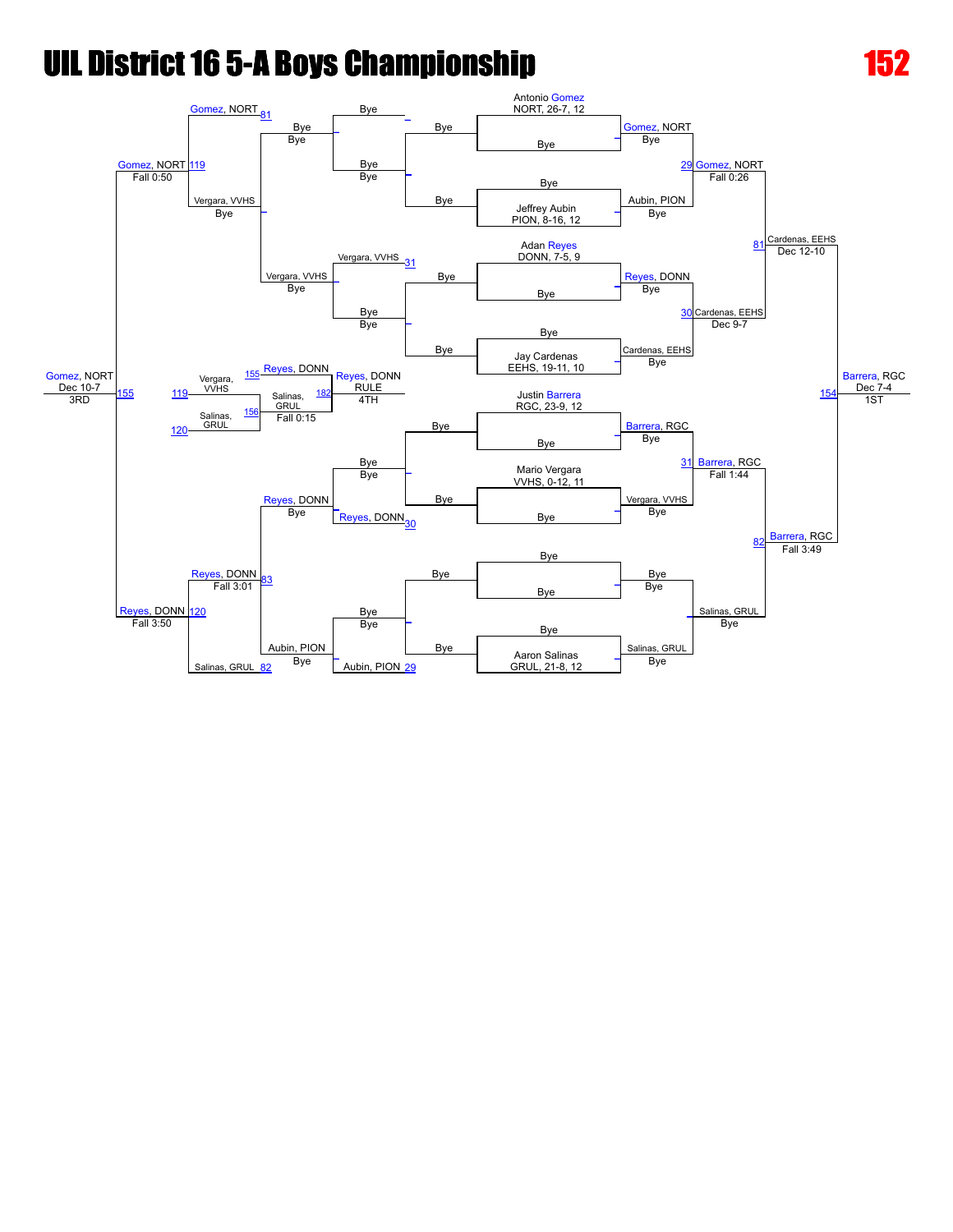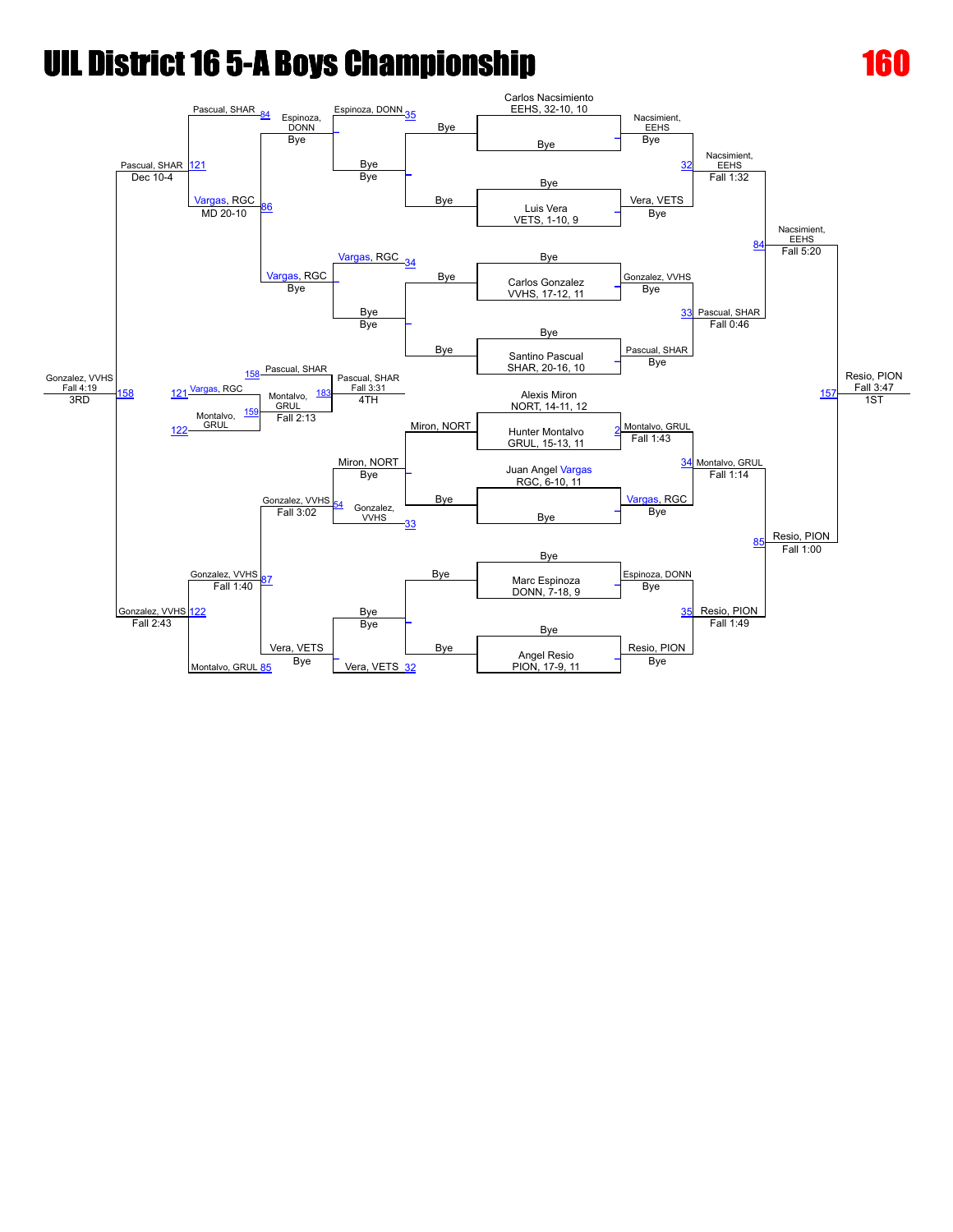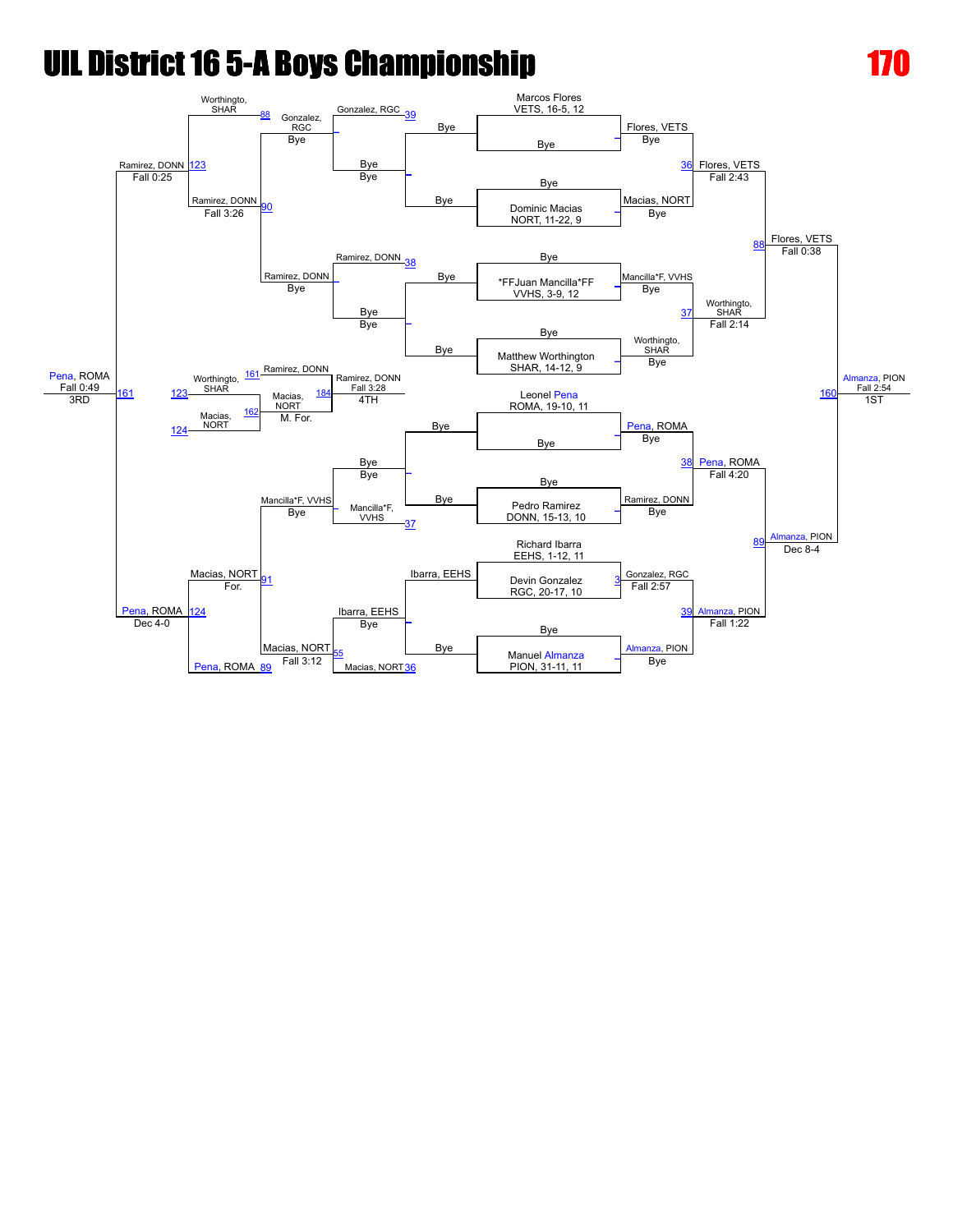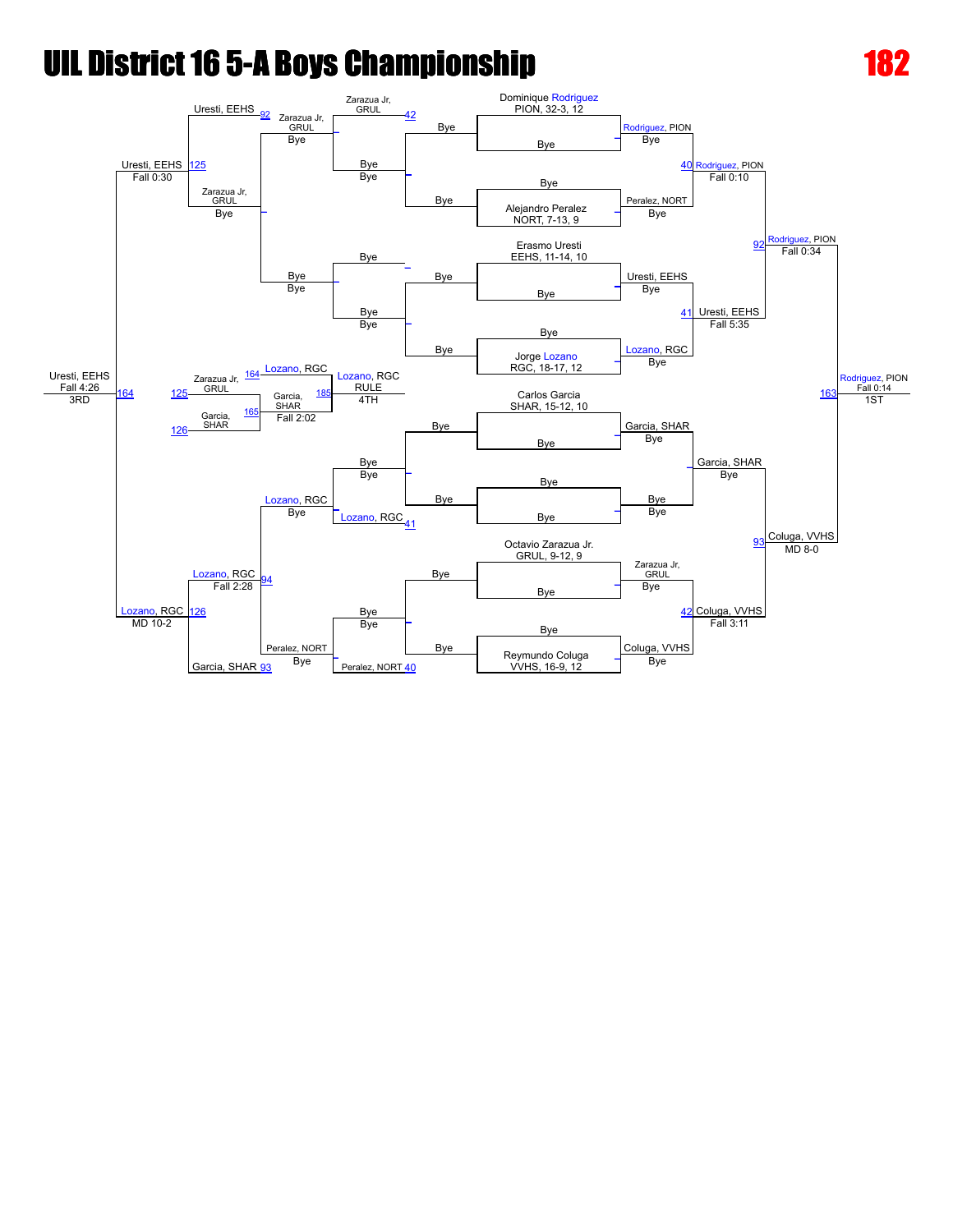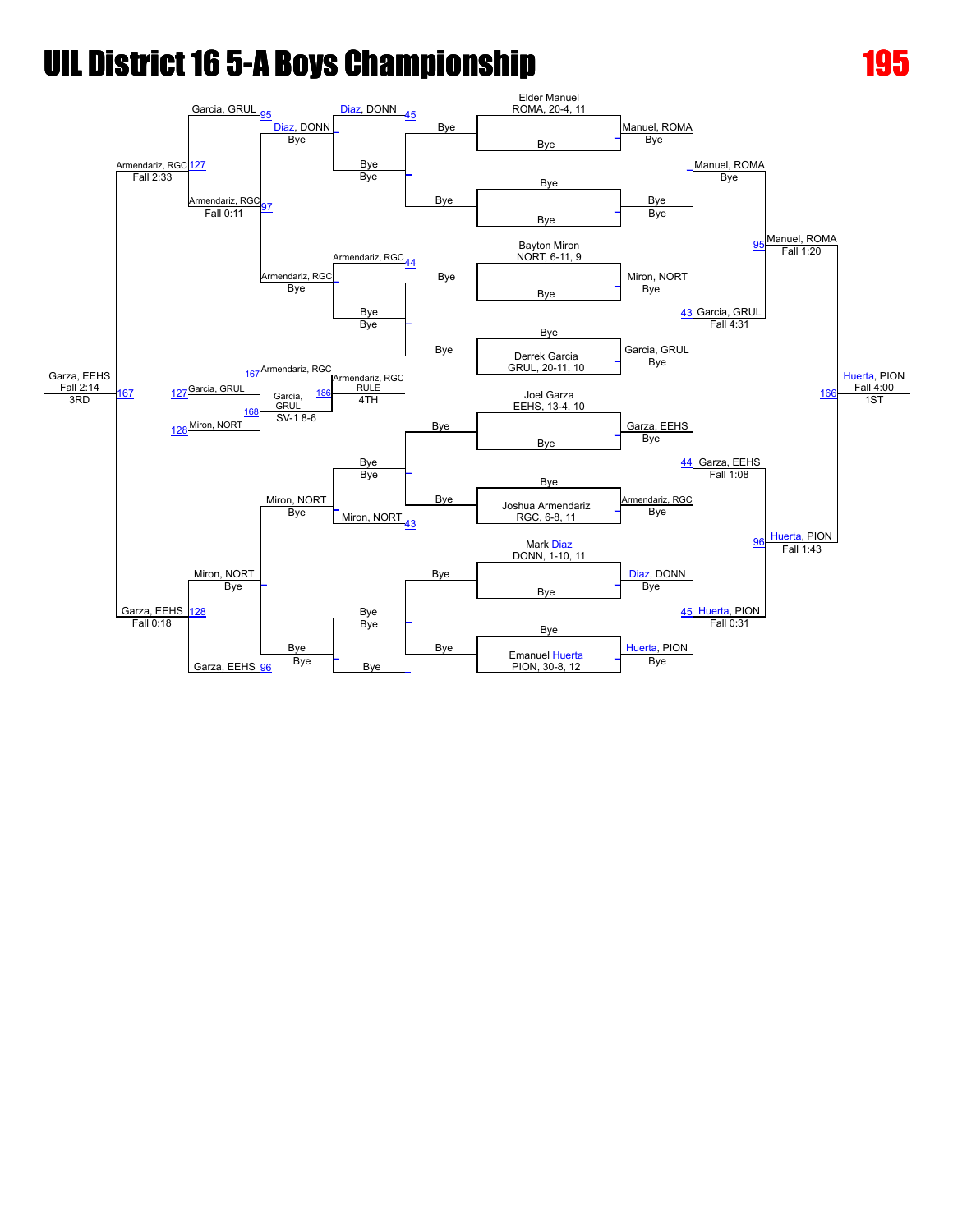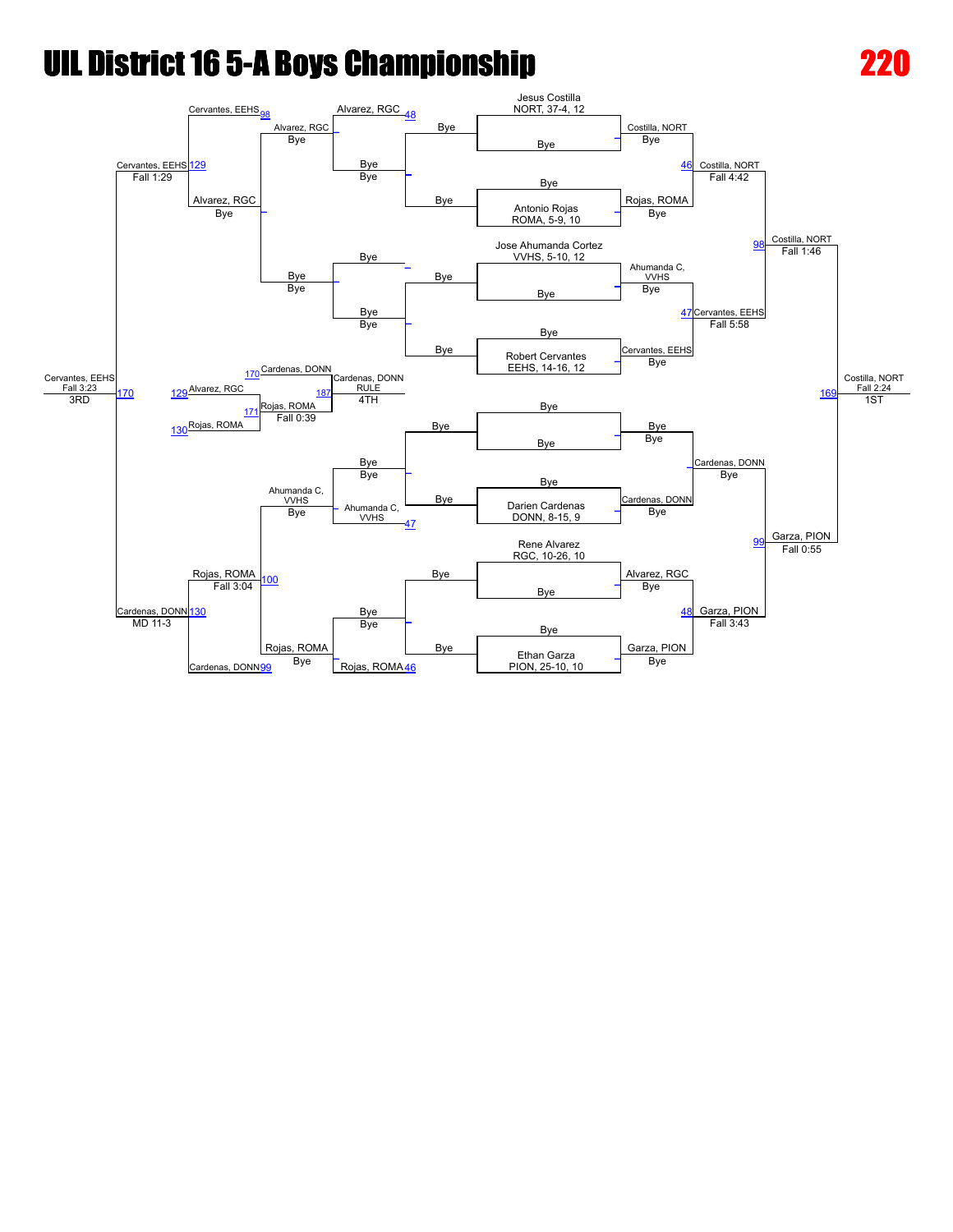